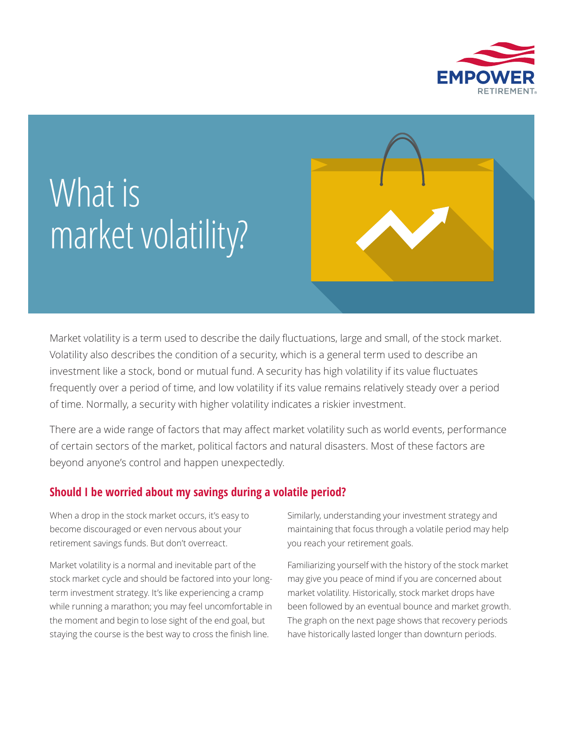

# What is market volatility?

Market volatility is a term used to describe the daily fluctuations, large and small, of the stock market. Volatility also describes the condition of a security, which is a general term used to describe an investment like a stock, bond or mutual fund. A security has high volatility if its value fluctuates frequently over a period of time, and low volatility if its value remains relatively steady over a period of time. Normally, a security with higher volatility indicates a riskier investment.

There are a wide range of factors that may affect market volatility such as world events, performance of certain sectors of the market, political factors and natural disasters. Most of these factors are beyond anyone's control and happen unexpectedly.

## **Should I be worried about my savings during a volatile period?**

When a drop in the stock market occurs, it's easy to become discouraged or even nervous about your retirement savings funds. But don't overreact.

Market volatility is a normal and inevitable part of the stock market cycle and should be factored into your longterm investment strategy. It's like experiencing a cramp while running a marathon; you may feel uncomfortable in the moment and begin to lose sight of the end goal, but staying the course is the best way to cross the finish line.

Similarly, understanding your investment strategy and maintaining that focus through a volatile period may help you reach your retirement goals.

Familiarizing yourself with the history of the stock market may give you peace of mind if you are concerned about market volatility. Historically, stock market drops have been followed by an eventual bounce and market growth. The graph on the next page shows that recovery periods have historically lasted longer than downturn periods.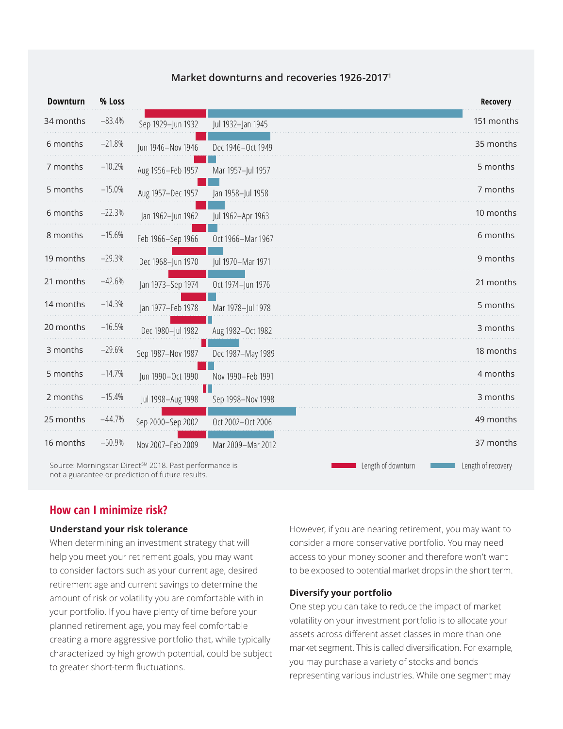| Market downturns and recoveries 1926-2017 <sup>1</sup> |
|--------------------------------------------------------|
|                                                        |

| <b>Downturn</b> | % Loss   |                                                                    |                   |                    | Recovery           |
|-----------------|----------|--------------------------------------------------------------------|-------------------|--------------------|--------------------|
| 34 months       | $-83.4%$ | Sep 1929-Jun 1932                                                  | Jul 1932-Jan 1945 |                    | 151 months         |
| 6 months        | $-21.8%$ | Jun 1946-Nov 1946                                                  | Dec 1946-Oct 1949 |                    | 35 months          |
| 7 months        | $-10.2%$ | Aug 1956-Feb 1957                                                  | Mar 1957-Jul 1957 |                    | 5 months           |
| 5 months        | $-15.0%$ | Aug 1957-Dec 1957                                                  | Jan 1958-Jul 1958 |                    | 7 months           |
| 6 months        | $-22.3%$ | Jan 1962-Jun 1962                                                  | Jul 1962-Apr 1963 |                    | 10 months          |
| 8 months        | $-15.6%$ | Feb 1966-Sep 1966                                                  | Oct 1966-Mar 1967 |                    | 6 months           |
| 19 months       | $-29.3%$ | Dec 1968-Jun 1970                                                  | Jul 1970-Mar 1971 |                    | 9 months           |
| 21 months       | $-42.6%$ | Jan 1973-Sep 1974                                                  | Oct 1974-Jun 1976 |                    | 21 months          |
| 14 months       | $-14.3%$ | Jan 1977-Feb 1978                                                  | Mar 1978-Jul 1978 |                    | 5 months           |
| 20 months       | $-16.5%$ | Dec 1980-Jul 1982                                                  | Aug 1982-Oct 1982 |                    | 3 months           |
| 3 months        | $-29.6%$ | Sep 1987-Nov 1987                                                  | Dec 1987-May 1989 |                    | 18 months          |
| 5 months        | $-14.7%$ | Jun 1990-Oct 1990                                                  | Nov 1990-Feb 1991 |                    | 4 months           |
| 2 months        | $-15.4%$ | Jul 1998-Aug 1998                                                  | Sep 1998-Nov 1998 |                    | 3 months           |
| 25 months       | $-44.7%$ | Sep 2000-Sep 2002                                                  | Oct 2002-Oct 2006 |                    | 49 months          |
| 16 months       | $-50.9%$ | Nov 2007-Feb 2009                                                  | Mar 2009-Mar 2012 |                    | 37 months          |
|                 |          | Source: Morningstar Direct <sup>sM</sup> 2018. Past performance is |                   | Length of downturn | Length of recovery |

not a guarantee or prediction of future results.

## **How can I minimize risk?**

### **Understand your risk tolerance**

When determining an investment strategy that will help you meet your retirement goals, you may want to consider factors such as your current age, desired retirement age and current savings to determine the amount of risk or volatility you are comfortable with in your portfolio. If you have plenty of time before your planned retirement age, you may feel comfortable creating a more aggressive portfolio that, while typically characterized by high growth potential, could be subject to greater short-term fluctuations.

However, if you are nearing retirement, you may want to consider a more conservative portfolio. You may need access to your money sooner and therefore won't want to be exposed to potential market drops in the short term.

### **Diversify your portfolio**

One step you can take to reduce the impact of market volatility on your investment portfolio is to allocate your assets across different asset classes in more than one market segment. This is called diversification. For example, you may purchase a variety of stocks and bonds representing various industries. While one segment may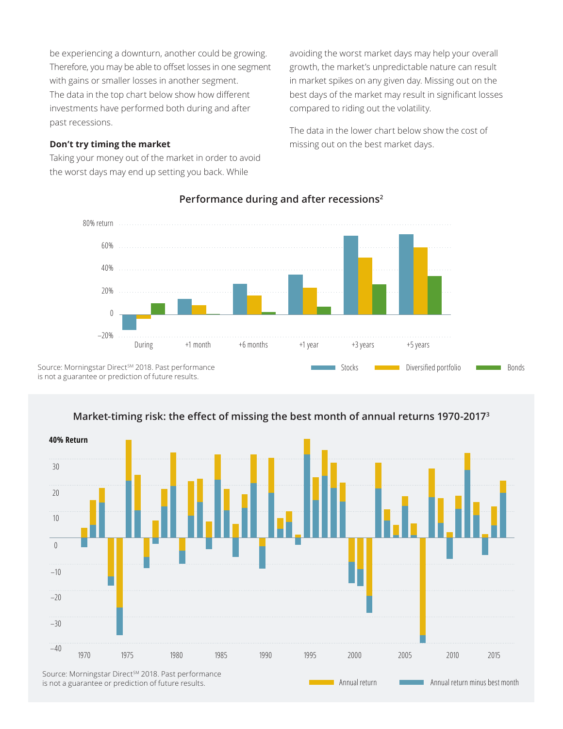be experiencing a downturn, another could be growing. Therefore, you may be able to offset losses in one segment with gains or smaller losses in another segment. The data in the top chart below show how different investments have performed both during and after past recessions.

#### **Don't try timing the market**

Taking your money out of the market in order to avoid the worst days may end up setting you back. While

avoiding the worst market days may help your overall growth, the market's unpredictable nature can result in market spikes on any given day. Missing out on the best days of the market may result in significant losses compared to riding out the volatility.

The data in the lower chart below show the cost of missing out on the best market days.



## **Performance during and after recessions2**

Source: Morningstar Direct<sup>SM</sup> 2018. Past performance is not a guarantee or prediction of future results.



## **Market-timing risk: the effect of missing the best month of annual returns 1970-2017<sup>3</sup>**

is not a guarantee or prediction of future results.